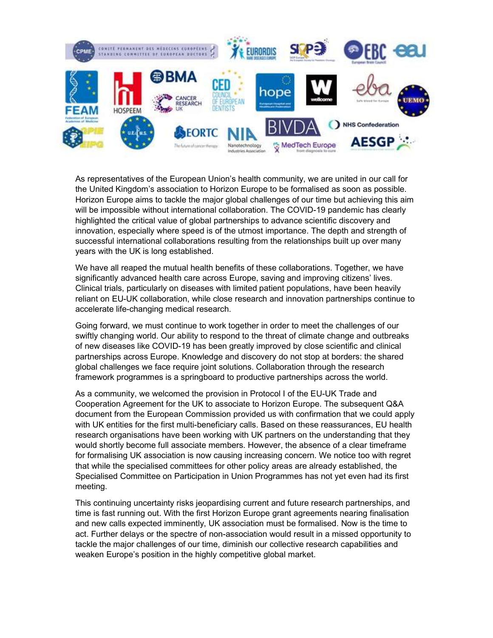

As representatives of the European Union's health community, we are united in our call for the United Kingdom's association to Horizon Europe to be formalised as soon as possible. Horizon Europe aims to tackle the major global challenges of our time but achieving this aim will be impossible without international collaboration. The COVID-19 pandemic has clearly highlighted the critical value of global partnerships to advance scientific discovery and innovation, especially where speed is of the utmost importance. The depth and strength of successful international collaborations resulting from the relationships built up over many years with the UK is long established.

We have all reaped the mutual health benefits of these collaborations. Together, we have significantly advanced health care across Europe, saving and improving citizens' lives. Clinical trials, particularly on diseases with limited patient populations, have been heavily reliant on EU-UK collaboration, while close research and innovation partnerships continue to accelerate life-changing medical research.

Going forward, we must continue to work together in order to meet the challenges of our swiftly changing world. Our ability to respond to the threat of climate change and outbreaks of new diseases like COVID-19 has been greatly improved by close scientific and clinical partnerships across Europe. Knowledge and discovery do not stop at borders: the shared global challenges we face require joint solutions. Collaboration through the research framework programmes is a springboard to productive partnerships across the world.

As a community, we welcomed the provision in Protocol I of the EU-UK Trade and Cooperation Agreement for the UK to associate to Horizon Europe. The subsequent Q&A document from the European Commission provided us with confirmation that we could apply with UK entities for the first multi-beneficiary calls. Based on these reassurances, EU health research organisations have been working with UK partners on the understanding that they would shortly become full associate members. However, the absence of a clear timeframe for formalising UK association is now causing increasing concern. We notice too with regret that while the specialised committees for other policy areas are already established, the Specialised Committee on Participation in Union Programmes has not yet even had its first meeting.

This continuing uncertainty risks jeopardising current and future research partnerships, and time is fast running out. With the first Horizon Europe grant agreements nearing finalisation and new calls expected imminently, UK association must be formalised. Now is the time to act. Further delays or the spectre of non-association would result in a missed opportunity to tackle the major challenges of our time, diminish our collective research capabilities and weaken Europe's position in the highly competitive global market.